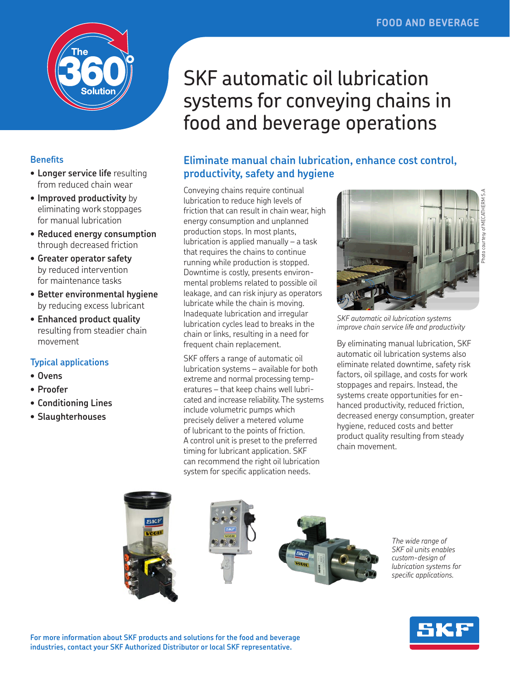

#### **Benefits**

- **• Longer service life** resulting from reduced chain wear
- **• Improved productivity** by eliminating work stoppages for manual lubrication
- **• Reduced energy consumption**  through decreased friction
- **• Greater operator safety**  by reduced intervention for maintenance tasks
- **• Better environmental hygiene**  by reducing excess lubricant
- **• Enhanced product quality**  resulting from steadier chain movement

#### **Typical applications**

- **• Ovens**
- **• Proofer**
- **• Conditioning Lines**
- **• Slaughterhouses**

# SKF automatic oil lubrication systems for conveying chains in food and beverage operations

## **Eliminate manual chain lubrication, enhance cost control, productivity, safety and hygiene**

Conveying chains require continual lubrication to reduce high levels of friction that can result in chain wear, high energy consumption and unplanned production stops. In most plants, lubrication is applied manually – a task that requires the chains to continue running while production is stopped. Downtime is costly, presents environmental problems related to possible oil leakage, and can risk injury as operators lubricate while the chain is moving. Inadequate lubrication and irregular lubrication cycles lead to breaks in the chain or links, resulting in a need for frequent chain replacement.

SKF offers a range of automatic oil lubrication systems – available for both extreme and normal processing temperatures – that keep chains well lubricated and increase reliability. The systems include volumetric pumps which precisely deliver a metered volume of lubricant to the points of friction. A control unit is preset to the preferred timing for lubricant application. SKF can recommend the right oil lubrication system for specific application needs.



*SKF automatic oil lubrication systems improve chain service life and productivity*

By eliminating manual lubrication, SKF automatic oil lubrication systems also eliminate related downtime, safety risk factors, oil spillage, and costs for work stoppages and repairs. Instead, the systems create opportunities for enhanced productivity, reduced friction, decreased energy consumption, greater hygiene, reduced costs and better product quality resulting from steady chain movement.



*The wide range of SKF oil units enables custom-design of lubrication systems for specific applications.*



**For more information about SKF products and solutions for the food and beverage industries, contact your SKF Authorized Distributor or local SKF representative.**